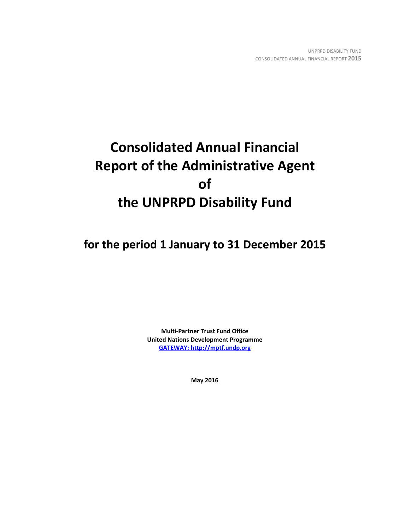# **Consolidated Annual Financial Report of the Administrative Agent of the UNPRPD Disability Fund**

**for the period 1 January to 31 December 2015**

**Multi-Partner Trust Fund Office United Nations Development Programme [GATEWAY: http://mptf.undp.org](http://mptf.undp.org/)**

**May 2016**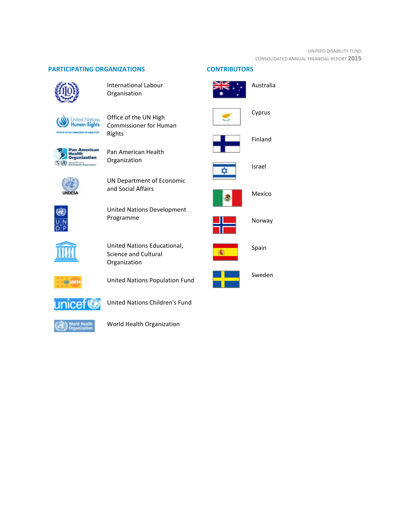#### UNPRPD DISABILITY FUND CONSOLIDATED ANNUAL FINANCIAL REPORT **2015**

# **PARTICIPATING ORGANIZATIONS CONTRIBUTORS**



International Labour Organisation



Office of the UN High Commissioner for Human Rights



Pan American Health Organization



UN Department of Economic and Social Affairs



United Nations Development Programme



United Nations Educational, Science and Cultural Organization



United Nations Population Fund



United Nations Children's Fund



World Health Organization



Cyprus



Finland



Israel



Mexico



Norway



Spain

Sweden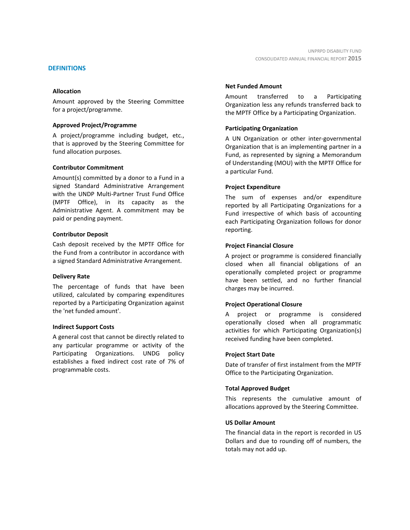#### **DEFINITIONS**

#### **Allocation**

Amount approved by the Steering Committee for a project/programme.

#### **Approved Project/Programme**

A project/programme including budget, etc., that is approved by the Steering Committee for fund allocation purposes.

#### **Contributor Commitment**

Amount(s) committed by a donor to a Fund in a signed Standard Administrative Arrangement with the UNDP Multi-Partner Trust Fund Office (MPTF Office), in its capacity as the Administrative Agent. A commitment may be paid or pending payment.

#### **Contributor Deposit**

Cash deposit received by the MPTF Office for the Fund from a contributor in accordance with a signed Standard Administrative Arrangement.

#### **Delivery Rate**

The percentage of funds that have been utilized, calculated by comparing expenditures reported by a Participating Organization against the 'net funded amount'.

#### **Indirect Support Costs**

A general cost that cannot be directly related to any particular programme or activity of the Participating Organizations. UNDG policy establishes a fixed indirect cost rate of 7% of programmable costs.

#### **Net Funded Amount**

Amount transferred to a Participating Organization less any refunds transferred back to the MPTF Office by a Participating Organization.

#### **Participating Organization**

A UN Organization or other inter-governmental Organization that is an implementing partner in a Fund, as represented by signing a Memorandum of Understanding (MOU) with the MPTF Office for a particular Fund.

#### **Project Expenditure**

The sum of expenses and/or expenditure reported by all Participating Organizations for a Fund irrespective of which basis of accounting each Participating Organization follows for donor reporting.

#### **Project Financial Closure**

A project or programme is considered financially closed when all financial obligations of an operationally completed project or programme have been settled, and no further financial charges may be incurred.

#### **Project Operational Closure**

A project or programme is considered operationally closed when all programmatic activities for which Participating Organization(s) received funding have been completed.

#### **Project Start Date**

Date of transfer of first instalment from the MPTF Office to the Participating Organization.

#### **Total Approved Budget**

This represents the cumulative amount of allocations approved by the Steering Committee.

#### **US Dollar Amount**

The financial data in the report is recorded in US Dollars and due to rounding off of numbers, the totals may not add up.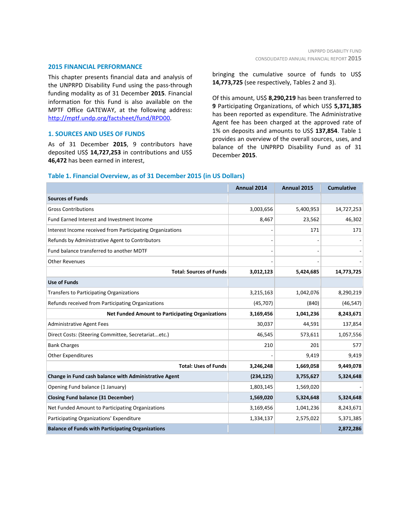#### **2015 FINANCIAL PERFORMANCE**

This chapter presents financial data and analysis of the UNPRPD Disability Fund using the pass-through funding modality as of 31 December **2015**. Financial information for this Fund is also available on the MPTF Office GATEWAY, at the following address: [http://mptf.undp.org/factsheet/fund/RPD00.](http://mptf.undp.org/factsheet/fund/RPD00)

#### **1. SOURCES AND USES OF FUNDS**

As of 31 December **2015**, 9 contributors have deposited US\$ **14,727,253** in contributions and US\$ **46,472** has been earned in interest,

bringing the cumulative source of funds to US\$ **14,773,725** (see respectively, Tables 2 and 3).

Of this amount, US\$ **8,290,219** has been transferred to **9** Participating Organizations, of which US\$ **5,371,385** has been reported as expenditure. The Administrative Agent fee has been charged at the approved rate of 1% on deposits and amounts to US\$ **137,854**. Table 1 provides an overview of the overall sources, uses, and balance of the UNPRPD Disability Fund as of 31 December **2015**.

# **Annual 2014 Annual 2015 Cumulative Sources of Funds** Gross Contributions 2,003,656 5,400,953 14,727,253 Fund Earned Interest and Investment Income 8,467 23,562 46,302 Interest Income received from Participating Organizations 171 171 171 171 171 171 Refunds by Administrative Agent to Contributors and the contributors of the contributors of the contributors of the contributors of the contributors of the contributors of the contributors of the contributors of the contri Fund balance transferred to another MDTF - - - Other Revenues - - - **Total: Sources of Funds 3,012,123 5,424,685 14,773,725 Use of Funds** Transfers to Participating Organizations and the set of the set of the set of the set of the set of the set of the set of the set of the set of the set of the set of the set of the set of the set of the set of the set of t Refunds received from Participating Organizations (45,707) (840) (840) (46,547) **Net Funded Amount to Participating Organizations 3,169,456 1,041,236 8,243,671** Administrative Agent Fees 2008 137,854 Direct Costs: (Steering Committee, Secretariat...etc.) 46,545 573,611 1,057,556 Bank Charges 210 201 577 Other Expenditures 8 and 19,419 9,419 9,419 9,419 9,419 9,419 9,419 9,419 9,419 9,419 9,419 9,419 9,419 9,419 **Total: Uses of Funds 3,246,248 1,669,058 9,449,078 Change in Fund cash balance with Administrative Agent (234,125) 3,755,627 5,324,648** Opening Fund balance (1 January) 1,803,145 1,569,020 **Closing Fund balance (31 December) 1,569,020 5,324,648 5,324,648** Net Funded Amount to Participating Organizations 1,041,236 3,169,456 3,243,671 Participating Organizations' Expenditure 1,334,137 2,575,022 5,371,385 **Balance of Funds with Participating Organizations 2,872,286**

#### **Table 1. Financial Overview, as of 31 December 2015 (in US Dollars)**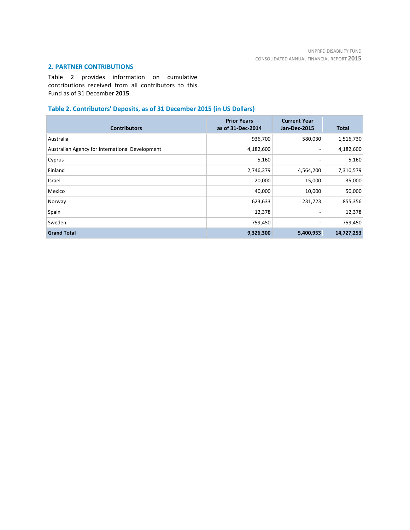# **2. PARTNER CONTRIBUTIONS**

Table 2 provides information on cumulative contributions received from all contributors to this Fund as of 31 December **2015**.

# **Table 2. Contributors' Deposits, as of 31 December 2015 (in US Dollars)**

| <b>Contributors</b>                             | <b>Prior Years</b><br>as of 31-Dec-2014 | <b>Current Year</b><br><b>Jan-Dec-2015</b> | <b>Total</b> |
|-------------------------------------------------|-----------------------------------------|--------------------------------------------|--------------|
| Australia                                       | 936,700                                 | 580,030                                    | 1,516,730    |
| Australian Agency for International Development | 4,182,600                               | $\overline{\phantom{0}}$                   | 4,182,600    |
| Cyprus                                          | 5,160                                   |                                            | 5,160        |
| Finland                                         | 2,746,379                               | 4,564,200                                  | 7,310,579    |
| Israel                                          | 20,000                                  | 15,000                                     | 35,000       |
| Mexico                                          | 40,000                                  | 10,000                                     | 50,000       |
| Norway                                          | 623,633                                 | 231,723                                    | 855,356      |
| Spain                                           | 12,378                                  | -                                          | 12,378       |
| Sweden                                          | 759,450                                 | -                                          | 759,450      |
| <b>Grand Total</b>                              | 9,326,300                               | 5,400,953                                  | 14,727,253   |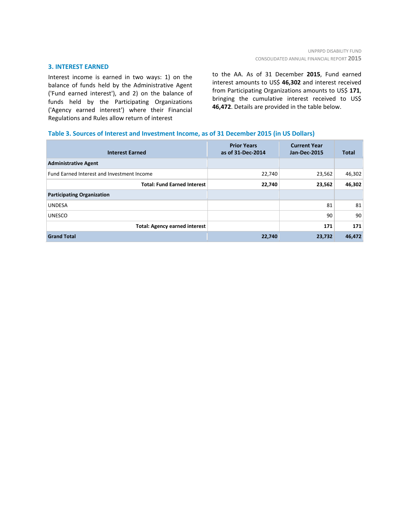#### **3. INTEREST EARNED**

Interest income is earned in two ways: 1) on the balance of funds held by the Administrative Agent ('Fund earned interest'), and 2) on the balance of funds held by the Participating Organizations ('Agency earned interest') where their Financial Regulations and Rules allow return of interest

to the AA. As of 31 December **2015**, Fund earned interest amounts to US\$ **46,302** and interest received from Participating Organizations amounts to US\$ **171**, bringing the cumulative interest received to US\$ **46,472**. Details are provided in the table below.

#### **Table 3. Sources of Interest and Investment Income, as of 31 December 2015 (in US Dollars)**

| <b>Interest Earned</b>                     | <b>Prior Years</b><br>as of 31-Dec-2014 | <b>Current Year</b><br><b>Jan-Dec-2015</b> | <b>Total</b> |
|--------------------------------------------|-----------------------------------------|--------------------------------------------|--------------|
| <b>Administrative Agent</b>                |                                         |                                            |              |
| Fund Earned Interest and Investment Income | 22,740                                  | 23,562                                     | 46,302       |
| <b>Total: Fund Earned Interest</b>         | 22,740                                  | 23,562                                     | 46,302       |
| <b>Participating Organization</b>          |                                         |                                            |              |
| <b>UNDESA</b>                              |                                         | 81                                         | 81           |
| <b>UNESCO</b>                              |                                         | 90                                         | 90           |
| <b>Total: Agency earned interest</b>       |                                         | 171                                        | 171          |
| <b>Grand Total</b>                         | 22,740                                  | 23,732                                     | 46,472       |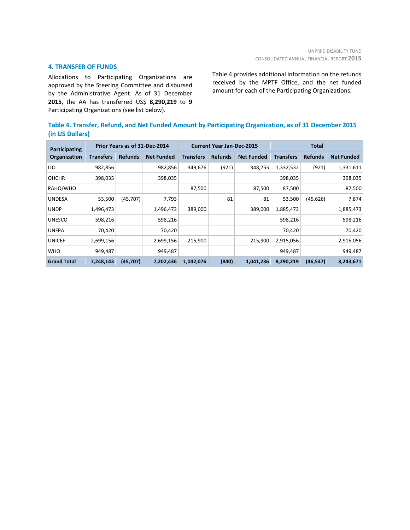# **4. TRANSFER OF FUNDS**

Allocations to Participating Organizations are approved by the Steering Committee and disbursed by the Administrative Agent. As of 31 December **2015**, the AA has transferred US\$ **8,290,219** to **9** Participating Organizations (see list below).

Table 4 provides additional information on the refunds received by the MPTF Office, and the net funded amount for each of the Participating Organizations.

| Table 4. Transfer, Refund, and Net Funded Amount by Participating Organization, as of 31 December 2015 |  |
|--------------------------------------------------------------------------------------------------------|--|
| (in US Dollars)                                                                                        |  |

| Participating      | Prior Years as of 31-Dec-2014<br><b>Current Year Jan-Dec-2015</b><br><b>Total</b> |                |                   |                  |                |                   |                  |                |                   |
|--------------------|-----------------------------------------------------------------------------------|----------------|-------------------|------------------|----------------|-------------------|------------------|----------------|-------------------|
| Organization       | <b>Transfers</b>                                                                  | <b>Refunds</b> | <b>Net Funded</b> | <b>Transfers</b> | <b>Refunds</b> | <b>Net Funded</b> | <b>Transfers</b> | <b>Refunds</b> | <b>Net Funded</b> |
| ILO                | 982,856                                                                           |                | 982,856           | 349,676          | (921)          | 348,755           | 1,332,532        | (921)          | 1,331,611         |
| <b>OHCHR</b>       | 398,035                                                                           |                | 398,035           |                  |                |                   | 398,035          |                | 398,035           |
| PAHO/WHO           |                                                                                   |                |                   | 87,500           |                | 87,500            | 87,500           |                | 87,500            |
| <b>UNDESA</b>      | 53,500                                                                            | (45, 707)      | 7,793             |                  | 81             | 81                | 53,500           | (45, 626)      | 7,874             |
| <b>UNDP</b>        | 1,496,473                                                                         |                | 1,496,473         | 389,000          |                | 389,000           | 1,885,473        |                | 1,885,473         |
| <b>UNESCO</b>      | 598,216                                                                           |                | 598,216           |                  |                |                   | 598,216          |                | 598,216           |
| <b>UNFPA</b>       | 70,420                                                                            |                | 70,420            |                  |                |                   | 70,420           |                | 70,420            |
| <b>UNICEF</b>      | 2,699,156                                                                         |                | 2,699,156         | 215,900          |                | 215,900           | 2,915,056        |                | 2,915,056         |
| <b>WHO</b>         | 949,487                                                                           |                | 949,487           |                  |                |                   | 949,487          |                | 949,487           |
| <b>Grand Total</b> | 7,248,143                                                                         | (45, 707)      | 7,202,436         | 1,042,076        | (840)          | 1,041,236         | 8,290,219        | (46, 547)      | 8,243,671         |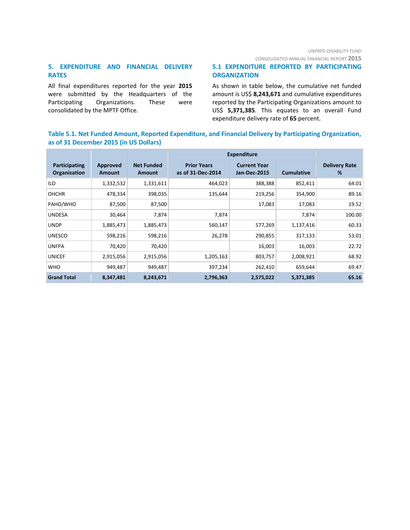CONSOLIDATED ANNUAL FINANCIAL REPORT **2015**

# **5. EXPENDITURE AND FINANCIAL DELIVERY RATES**

All final expenditures reported for the year **2015** were submitted by the Headquarters of the Participating Organizations. These were consolidated by the MPTF Office.

# **5.1 EXPENDITURE REPORTED BY PARTICIPATING ORGANIZATION**

As shown in table below, the cumulative net funded amount is US\$ **8,243,671** and cumulative expenditures reported by the Participating Organizations amount to US\$ **5,371,385**. This equates to an overall Fund expenditure delivery rate of **65** percent.

# **Table 5.1. Net Funded Amount, Reported Expenditure, and Financial Delivery by Participating Organization, as of 31 December 2015 (in US Dollars)**

|                                      |                           |                             | <b>Expenditure</b>                      |                                            |                   |                           |
|--------------------------------------|---------------------------|-----------------------------|-----------------------------------------|--------------------------------------------|-------------------|---------------------------|
| Participating<br><b>Organization</b> | Approved<br><b>Amount</b> | <b>Net Funded</b><br>Amount | <b>Prior Years</b><br>as of 31-Dec-2014 | <b>Current Year</b><br><b>Jan-Dec-2015</b> | <b>Cumulative</b> | <b>Delivery Rate</b><br>% |
| <b>ILO</b>                           | 1,332,532                 | 1,331,611                   | 464,023                                 | 388,388                                    | 852,411           | 64.01                     |
| <b>OHCHR</b>                         | 478,334                   | 398,035                     | 135,644                                 | 219,256                                    | 354,900           | 89.16                     |
| PAHO/WHO                             | 87,500                    | 87,500                      |                                         | 17,083                                     | 17,083            | 19.52                     |
| <b>UNDESA</b>                        | 30,464                    | 7,874                       | 7,874                                   |                                            | 7,874             | 100.00                    |
| <b>UNDP</b>                          | 1,885,473                 | 1,885,473                   | 560,147                                 | 577,269                                    | 1,137,416         | 60.33                     |
| <b>UNESCO</b>                        | 598,216                   | 598,216                     | 26,278                                  | 290,855                                    | 317,133           | 53.01                     |
| <b>UNFPA</b>                         | 70,420                    | 70,420                      |                                         | 16,003                                     | 16,003            | 22.72                     |
| <b>UNICEF</b>                        | 2,915,056                 | 2,915,056                   | 1,205,163                               | 803,757                                    | 2,008,921         | 68.92                     |
| <b>WHO</b>                           | 949,487                   | 949,487                     | 397,234                                 | 262,410                                    | 659,644           | 69.47                     |
| <b>Grand Total</b>                   | 8,347,481                 | 8,243,671                   | 2,796,363                               | 2,575,022                                  | 5,371,385         | 65.16                     |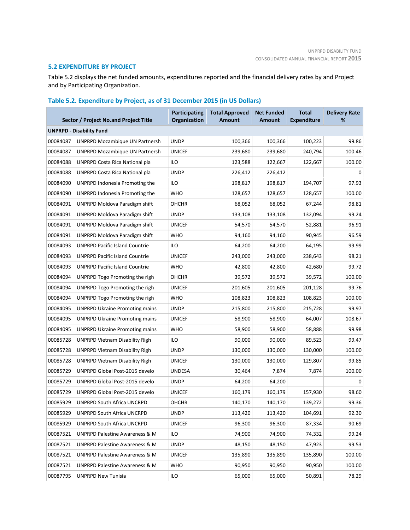# **5.2 EXPENDITURE BY PROJECT**

Table 5.2 displays the net funded amounts, expenditures reported and the financial delivery rates by and Project and by Participating Organization.

# **Table 5.2. Expenditure by Project, as of 31 December 2015 (in US Dollars)**

|          | Sector / Project No.and Project Title     | <b>Participating</b><br>Organization | <b>Total Approved</b><br><b>Amount</b> | <b>Net Funded</b><br><b>Amount</b> | <b>Total</b><br><b>Expenditure</b> | <b>Delivery Rate</b><br>% |
|----------|-------------------------------------------|--------------------------------------|----------------------------------------|------------------------------------|------------------------------------|---------------------------|
|          | <b>UNPRPD - Disability Fund</b>           |                                      |                                        |                                    |                                    |                           |
| 00084087 | <b>UNPRPD Mozambique UN Partnersh</b>     | <b>UNDP</b>                          | 100,366                                | 100,366                            | 100,223                            | 99.86                     |
| 00084087 | <b>UNPRPD Mozambique UN Partnersh</b>     | <b>UNICEF</b>                        | 239,680                                | 239,680                            | 240,794                            | 100.46                    |
| 00084088 | UNPRPD Costa Rica National pla            | ILO                                  | 123,588                                | 122,667                            | 122,667                            | 100.00                    |
| 00084088 | UNPRPD Costa Rica National pla            | <b>UNDP</b>                          | 226,412                                | 226,412                            |                                    | 0                         |
| 00084090 | UNPRPD Indonesia Promoting the            | ILO                                  | 198,817                                | 198,817                            | 194,707                            | 97.93                     |
| 00084090 | UNPRPD Indonesia Promoting the            | <b>WHO</b>                           | 128,657                                | 128,657                            | 128,657                            | 100.00                    |
| 00084091 | UNPRPD Moldova Paradigm shift             | <b>OHCHR</b>                         | 68,052                                 | 68,052                             | 67,244                             | 98.81                     |
| 00084091 | UNPRPD Moldova Paradigm shift             | <b>UNDP</b>                          | 133,108                                | 133,108                            | 132,094                            | 99.24                     |
| 00084091 | UNPRPD Moldova Paradigm shift             | <b>UNICEF</b>                        | 54,570                                 | 54,570                             | 52,881                             | 96.91                     |
| 00084091 | UNPRPD Moldova Paradigm shift             | <b>WHO</b>                           | 94,160                                 | 94,160                             | 90,945                             | 96.59                     |
| 00084093 | <b>UNPRPD Pacific Island Countrie</b>     | <b>ILO</b>                           | 64,200                                 | 64,200                             | 64,195                             | 99.99                     |
| 00084093 | <b>UNPRPD Pacific Island Countrie</b>     | <b>UNICEF</b>                        | 243,000                                | 243,000                            | 238,643                            | 98.21                     |
| 00084093 | <b>UNPRPD Pacific Island Countrie</b>     | <b>WHO</b>                           | 42,800                                 | 42,800                             | 42,680                             | 99.72                     |
| 00084094 | UNPRPD Togo Promoting the righ            | OHCHR                                | 39,572                                 | 39,572                             | 39,572                             | 100.00                    |
| 00084094 | UNPRPD Togo Promoting the righ            | <b>UNICEF</b>                        | 201,605                                | 201,605                            | 201,128                            | 99.76                     |
| 00084094 | UNPRPD Togo Promoting the righ            | <b>WHO</b>                           | 108,823                                | 108,823                            | 108,823                            | 100.00                    |
| 00084095 | <b>UNPRPD Ukraine Promoting mains</b>     | <b>UNDP</b>                          | 215,800                                | 215,800                            | 215,728                            | 99.97                     |
| 00084095 | UNPRPD Ukraine Promoting mains            | <b>UNICEF</b>                        | 58,900                                 | 58,900                             | 64,007                             | 108.67                    |
| 00084095 | <b>UNPRPD Ukraine Promoting mains</b>     | <b>WHO</b>                           | 58,900                                 | 58,900                             | 58,888                             | 99.98                     |
| 00085728 | <b>UNPRPD Vietnam Disability Righ</b>     | ILO                                  | 90,000                                 | 90,000                             | 89,523                             | 99.47                     |
| 00085728 | <b>UNPRPD Vietnam Disability Righ</b>     | <b>UNDP</b>                          | 130,000                                | 130,000                            | 130,000                            | 100.00                    |
| 00085728 | <b>UNPRPD Vietnam Disability Righ</b>     | <b>UNICEF</b>                        | 130,000                                | 130,000                            | 129,807                            | 99.85                     |
| 00085729 | UNPRPD Global Post-2015 develo            | <b>UNDESA</b>                        | 30,464                                 | 7,874                              | 7,874                              | 100.00                    |
| 00085729 | UNPRPD Global Post-2015 develo            | <b>UNDP</b>                          | 64,200                                 | 64,200                             |                                    | 0                         |
| 00085729 | UNPRPD Global Post-2015 develo            | <b>UNICEF</b>                        | 160,179                                | 160,179                            | 157,930                            | 98.60                     |
| 00085929 | UNPRPD South Africa UNCRPD                | <b>OHCHR</b>                         | 140,170                                | 140,170                            | 139,272                            | 99.36                     |
| 00085929 | UNPRPD South Africa UNCRPD                | <b>UNDP</b>                          | 113,420                                | 113,420                            | 104,691                            | 92.30                     |
| 00085929 | UNPRPD South Africa UNCRPD                | <b>UNICEF</b>                        | 96,300                                 | 96,300                             | 87,334                             | 90.69                     |
| 00087521 | UNPRPD Palestine Awareness & M            | ILO                                  | 74,900                                 | 74,900                             | 74,332                             | 99.24                     |
| 00087521 | <b>UNPRPD Palestine Awareness &amp; M</b> | <b>UNDP</b>                          | 48,150                                 | 48,150                             | 47,923                             | 99.53                     |
| 00087521 | UNPRPD Palestine Awareness & M            | <b>UNICEF</b>                        | 135,890                                | 135,890                            | 135,890                            | 100.00                    |
| 00087521 | UNPRPD Palestine Awareness & M            | <b>WHO</b>                           | 90,950                                 | 90,950                             | 90,950                             | 100.00                    |
| 00087795 | <b>UNPRPD New Tunisia</b>                 | <b>ILO</b>                           | 65,000                                 | 65,000                             | 50,891                             | 78.29                     |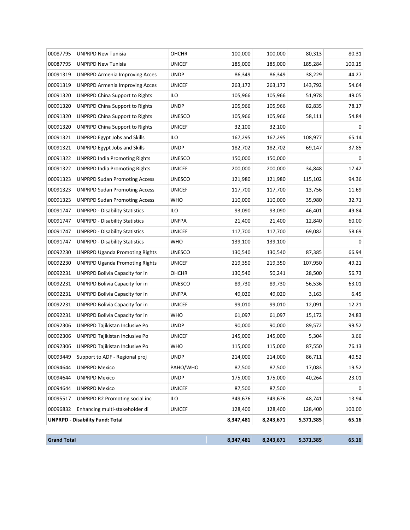|          | <b>Grand Total</b>                     |               | 8,347,481 |           | 5,371,385 |             |
|----------|----------------------------------------|---------------|-----------|-----------|-----------|-------------|
|          | <b>UNPRPD - Disability Fund: Total</b> |               | 8,347,481 | 8,243,671 | 5,371,385 | 65.16       |
| 00096832 | Enhancing multi-stakeholder di         | <b>UNICEF</b> | 128,400   | 128,400   | 128,400   | 100.00      |
| 00095517 | UNPRPD R2 Promoting social inc         | ilo           | 349,676   | 349,676   | 48,741    | 13.94       |
| 00094644 | <b>UNPRPD Mexico</b>                   | <b>UNICEF</b> | 87,500    | 87,500    |           | $\Omega$    |
| 00094644 | <b>UNPRPD Mexico</b>                   | <b>UNDP</b>   | 175,000   | 175,000   | 40,264    | 23.01       |
| 00094644 | <b>UNPRPD Mexico</b>                   | PAHO/WHO      | 87,500    | 87,500    | 17,083    | 19.52       |
| 00093449 | Support to ADF - Regional proj         | <b>UNDP</b>   | 214,000   | 214,000   | 86,711    | 40.52       |
| 00092306 | UNPRPD Tajikistan Inclusive Po         | <b>WHO</b>    | 115,000   | 115,000   | 87,550    | 76.13       |
| 00092306 | UNPRPD Tajikistan Inclusive Po         | <b>UNICEF</b> | 145,000   | 145,000   | 5,304     | 3.66        |
| 00092306 | <b>UNPRPD Tajikistan Inclusive Po</b>  | <b>UNDP</b>   | 90,000    | 90,000    | 89,572    | 99.52       |
| 00092231 | UNPRPD Bolivia Capacity for in         | <b>WHO</b>    | 61,097    | 61,097    | 15,172    | 24.83       |
| 00092231 | UNPRPD Bolivia Capacity for in         | <b>UNICEF</b> | 99,010    | 99,010    | 12,091    | 12.21       |
| 00092231 | UNPRPD Bolivia Capacity for in         | <b>UNFPA</b>  | 49,020    | 49,020    | 3,163     | 6.45        |
| 00092231 | UNPRPD Bolivia Capacity for in         | <b>UNESCO</b> | 89,730    | 89,730    | 56,536    | 63.01       |
| 00092231 | UNPRPD Bolivia Capacity for in         | OHCHR         | 130,540   | 50,241    | 28,500    | 56.73       |
| 00092230 | <b>UNPRPD Uganda Promoting Rights</b>  | <b>UNICEF</b> | 219,350   | 219,350   | 107,950   | 49.21       |
| 00092230 | <b>UNPRPD Uganda Promoting Rights</b>  | <b>UNESCO</b> | 130,540   | 130,540   | 87,385    | 66.94       |
| 00091747 | <b>UNPRPD - Disability Statistics</b>  | WHO           | 139,100   | 139,100   |           | $\mathbf 0$ |
| 00091747 | <b>UNPRPD - Disability Statistics</b>  | <b>UNICEF</b> | 117,700   | 117,700   | 69,082    | 58.69       |
| 00091747 | <b>UNPRPD - Disability Statistics</b>  | <b>UNFPA</b>  | 21,400    | 21,400    | 12,840    | 60.00       |
| 00091747 | <b>UNPRPD - Disability Statistics</b>  | ilo           | 93,090    | 93,090    | 46,401    | 49.84       |
| 00091323 | <b>UNPRPD Sudan Promoting Access</b>   | <b>WHO</b>    | 110,000   | 110,000   | 35,980    | 32.71       |
| 00091323 | <b>UNPRPD Sudan Promoting Access</b>   | <b>UNICEF</b> | 117,700   | 117,700   | 13,756    | 11.69       |
| 00091323 | <b>UNPRPD Sudan Promoting Access</b>   | <b>UNESCO</b> | 121,980   | 121,980   | 115,102   | 94.36       |
| 00091322 | <b>UNPRPD India Promoting Rights</b>   | <b>UNICEF</b> | 200,000   | 200,000   | 34,848    | 17.42       |
| 00091322 | <b>UNPRPD India Promoting Rights</b>   | <b>UNESCO</b> | 150,000   | 150,000   |           | 0           |
| 00091321 | <b>UNPRPD Egypt Jobs and Skills</b>    | <b>UNDP</b>   | 182,702   | 182,702   | 69,147    | 37.85       |
| 00091321 | <b>UNPRPD Egypt Jobs and Skills</b>    | ILO           | 167,295   | 167,295   | 108,977   | 65.14       |
| 00091320 | UNPRPD China Support to Rights         | <b>UNICEF</b> | 32,100    | 32,100    |           | $\Omega$    |
| 00091320 | <b>UNPRPD China Support to Rights</b>  | <b>UNESCO</b> | 105,966   | 105,966   | 58,111    | 54.84       |
| 00091320 | <b>UNPRPD China Support to Rights</b>  | <b>UNDP</b>   | 105,966   | 105,966   | 82,835    | 78.17       |
| 00091320 | <b>UNPRPD China Support to Rights</b>  | ilo           | 105,966   | 105,966   | 51,978    | 49.05       |
| 00091319 | <b>UNPRPD Armenia Improving Acces</b>  | <b>UNICEF</b> | 263,172   | 263,172   | 143,792   | 54.64       |
| 00091319 | UNPRPD Armenia Improving Acces         | <b>UNDP</b>   | 86,349    | 86,349    | 38,229    | 44.27       |
| 00087795 | <b>UNPRPD New Tunisia</b>              | <b>UNICEF</b> | 185,000   | 185,000   | 185,284   | 100.15      |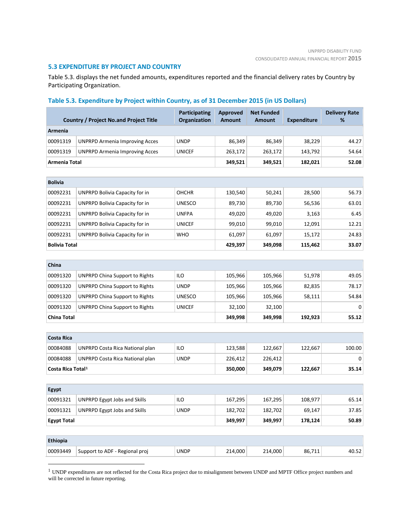#### **5.3 EXPENDITURE BY PROJECT AND COUNTRY**

Table 5.3. displays the net funded amounts, expenditures reported and the financial delivery rates by Country by Participating Organization.

# **Table 5.3. Expenditure by Project within Country, as of 31 December 2015 (in US Dollars)**

|                               | <b>Country / Project No.and Project Title</b> | <b>Participating</b><br>Organization | <b>Approved</b><br><b>Amount</b> | <b>Net Funded</b><br><b>Amount</b> | <b>Expenditure</b> | <b>Delivery Rate</b><br>% |
|-------------------------------|-----------------------------------------------|--------------------------------------|----------------------------------|------------------------------------|--------------------|---------------------------|
| Armenia                       |                                               |                                      |                                  |                                    |                    |                           |
| 00091319                      | <b>UNPRPD Armenia Improving Acces</b>         | <b>UNDP</b>                          | 86,349                           | 86,349                             | 38,229             | 44.27                     |
| 00091319                      | <b>UNPRPD Armenia Improving Acces</b>         | <b>UNICEF</b>                        | 263,172                          | 263,172                            | 143,792            | 54.64                     |
| Armenia Total                 |                                               |                                      | 349,521                          | 349,521                            | 182,021            | 52.08                     |
|                               |                                               |                                      |                                  |                                    |                    |                           |
| <b>Bolivia</b>                |                                               |                                      |                                  |                                    |                    |                           |
| 00092231                      | UNPRPD Bolivia Capacity for in                | OHCHR                                | 130,540                          | 50,241                             | 28,500             | 56.73                     |
| 00092231                      | UNPRPD Bolivia Capacity for in                | <b>UNESCO</b>                        | 89,730                           | 89,730                             | 56,536             | 63.01                     |
| 00092231                      | UNPRPD Bolivia Capacity for in                | <b>UNFPA</b>                         | 49,020                           | 49,020                             | 3,163              | 6.45                      |
| 00092231                      | UNPRPD Bolivia Capacity for in                | <b>UNICEF</b>                        | 99,010                           | 99,010                             | 12,091             | 12.21                     |
| 00092231                      | UNPRPD Bolivia Capacity for in                | <b>WHO</b>                           | 61,097                           | 61,097                             | 15,172             | 24.83                     |
| <b>Bolivia Total</b>          |                                               |                                      | 429,397                          | 349,098                            | 115,462            | 33.07                     |
|                               |                                               |                                      |                                  |                                    |                    |                           |
| China                         |                                               |                                      |                                  |                                    |                    |                           |
| 00091320                      | <b>UNPRPD China Support to Rights</b>         | ILO                                  | 105,966                          | 105,966                            | 51,978             | 49.05                     |
| 00091320                      | <b>UNPRPD China Support to Rights</b>         | <b>UNDP</b>                          | 105,966                          | 105,966                            | 82,835             | 78.17                     |
| 00091320                      | <b>UNPRPD China Support to Rights</b>         | <b>UNESCO</b>                        | 105,966                          | 105,966                            | 58,111             | 54.84                     |
| 00091320                      | <b>UNPRPD China Support to Rights</b>         | <b>UNICEF</b>                        | 32,100                           | 32,100                             |                    | $\Omega$                  |
| <b>China Total</b>            |                                               |                                      | 349,998                          | 349,998                            | 192,923            | 55.12                     |
|                               |                                               |                                      |                                  |                                    |                    |                           |
| <b>Costa Rica</b>             |                                               |                                      |                                  |                                    |                    |                           |
| 00084088                      | UNPRPD Costa Rica National plan               | <b>ILO</b>                           | 123,588                          | 122,667                            | 122,667            | 100.00                    |
| 00084088                      | UNPRPD Costa Rica National plan               | <b>UNDP</b>                          | 226,412                          | 226,412                            |                    | $\mathbf 0$               |
| Costa Rica Total <sup>1</sup> |                                               |                                      | 350,000                          | 349,079                            | 122,667            | 35.14                     |
|                               |                                               |                                      |                                  |                                    |                    |                           |
| <b>Egypt</b>                  |                                               |                                      |                                  |                                    |                    |                           |
| 00091321                      | <b>UNPRPD Egypt Jobs and Skills</b>           | <b>ILO</b>                           | 167,295                          | 167,295                            | 108,977            | 65.14                     |
| 00091321                      | <b>UNPRPD Egypt Jobs and Skills</b>           | <b>UNDP</b>                          | 182,702                          | 182,702                            | 69,147             | 37.85                     |
| <b>Egypt Total</b>            |                                               |                                      | 349,997                          | 349,997                            | 178,124            | 50.89                     |
|                               |                                               |                                      |                                  |                                    |                    |                           |
| <b>Ethiopia</b>               |                                               |                                      |                                  |                                    |                    |                           |
| 00093449                      | Support to ADF - Regional proj                | <b>UNDP</b>                          | 214,000                          | 214,000                            | 86,711             | 40.52                     |

<span id="page-10-0"></span><sup>1</sup> UNDP expenditures are not reflected for the Costa Rica project due to misalignment between UNDP and MPTF Office project numbers and will be corrected in future reporting.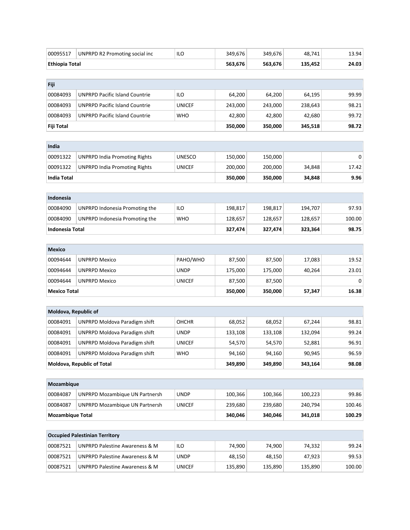| 00095517                | UNPRPD R2 Promoting social inc            | ILO           | 349,676 | 349,676 | 48,741  | 13.94  |
|-------------------------|-------------------------------------------|---------------|---------|---------|---------|--------|
| <b>Ethiopia Total</b>   |                                           |               | 563,676 | 563,676 | 135,452 | 24.03  |
|                         |                                           |               |         |         |         |        |
| Fiji                    |                                           |               |         |         |         |        |
| 00084093                | <b>UNPRPD Pacific Island Countrie</b>     | ILO           | 64,200  | 64,200  | 64,195  | 99.99  |
| 00084093                | <b>UNPRPD Pacific Island Countrie</b>     | <b>UNICEF</b> | 243,000 | 243,000 | 238,643 | 98.21  |
| 00084093                | <b>UNPRPD Pacific Island Countrie</b>     | <b>WHO</b>    | 42,800  | 42,800  | 42,680  | 99.72  |
| Fiji Total              |                                           |               | 350,000 | 350,000 | 345,518 | 98.72  |
|                         |                                           |               |         |         |         |        |
| India                   |                                           |               |         |         |         |        |
| 00091322                | <b>UNPRPD India Promoting Rights</b>      | <b>UNESCO</b> | 150,000 | 150,000 |         | 0      |
| 00091322                | <b>UNPRPD India Promoting Rights</b>      | <b>UNICEF</b> | 200,000 | 200,000 | 34,848  | 17.42  |
| <b>India Total</b>      |                                           |               | 350,000 | 350,000 | 34,848  | 9.96   |
|                         |                                           |               |         |         |         |        |
| Indonesia               |                                           |               |         |         |         |        |
| 00084090                | UNPRPD Indonesia Promoting the            | ILO           | 198,817 | 198,817 | 194,707 | 97.93  |
| 00084090                | UNPRPD Indonesia Promoting the            | <b>WHO</b>    | 128,657 | 128,657 | 128,657 | 100.00 |
| <b>Indonesia Total</b>  |                                           |               | 327,474 | 327,474 | 323,364 | 98.75  |
|                         |                                           |               |         |         |         |        |
| <b>Mexico</b>           |                                           |               |         |         |         |        |
| 00094644                | <b>UNPRPD Mexico</b>                      | PAHO/WHO      | 87,500  | 87,500  | 17,083  | 19.52  |
| 00094644                | <b>UNPRPD Mexico</b>                      | <b>UNDP</b>   | 175,000 | 175,000 | 40,264  | 23.01  |
| 00094644                | <b>UNPRPD Mexico</b>                      | <b>UNICEF</b> | 87,500  | 87,500  |         | 0      |
| <b>Mexico Total</b>     |                                           |               | 350,000 | 350,000 | 57,347  | 16.38  |
|                         |                                           |               |         |         |         |        |
| Moldova, Republic of    |                                           |               |         |         |         |        |
| 00084091                | <b>UNPRPD Moldova Paradigm shift</b>      | <b>OHCHR</b>  | 68,052  | 68,052  | 67,244  | 98.81  |
| 00084091                | <b>UNPRPD Moldova Paradigm shift</b>      | <b>UNDP</b>   | 133,108 | 133,108 | 132,094 | 99.24  |
| 00084091                | <b>UNPRPD Moldova Paradigm shift</b>      | <b>UNICEF</b> | 54,570  | 54,570  | 52,881  | 96.91  |
| 00084091                | <b>UNPRPD Moldova Paradigm shift</b>      | <b>WHO</b>    | 94,160  | 94,160  | 90,945  | 96.59  |
|                         | <b>Moldova, Republic of Total</b>         |               | 349,890 | 349,890 | 343,164 | 98.08  |
|                         |                                           |               |         |         |         |        |
| Mozambique              |                                           |               |         |         |         |        |
| 00084087                | <b>UNPRPD Mozambique UN Partnersh</b>     | <b>UNDP</b>   | 100,366 | 100,366 | 100,223 | 99.86  |
| 00084087                | <b>UNPRPD Mozambique UN Partnersh</b>     | <b>UNICEF</b> | 239,680 | 239,680 | 240,794 | 100.46 |
| <b>Mozambique Total</b> |                                           |               | 340,046 | 340,046 | 341,018 | 100.29 |
|                         |                                           |               |         |         |         |        |
|                         | <b>Occupied Palestinian Territory</b>     |               |         |         |         |        |
| 00087521                | <b>UNPRPD Palestine Awareness &amp; M</b> | ILO           | 74,900  | 74,900  | 74,332  | 99.24  |
| 00087521                | <b>UNPRPD Palestine Awareness &amp; M</b> | <b>UNDP</b>   | 48,150  | 48,150  | 47,923  | 99.53  |
| 00087521                | UNPRPD Palestine Awareness & M            | <b>UNICEF</b> | 135,890 | 135,890 | 135,890 | 100.00 |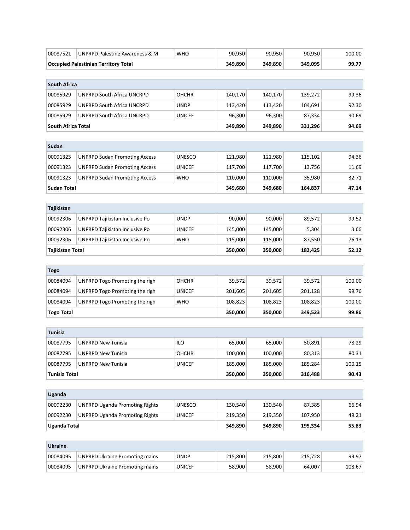| 00087521             | UNPRPD Palestine Awareness & M              | <b>WHO</b>    | 90,950  | 90,950  | 90,950  | 100.00 |
|----------------------|---------------------------------------------|---------------|---------|---------|---------|--------|
|                      | <b>Occupied Palestinian Territory Total</b> |               | 349,890 | 349,890 | 349,095 | 99.77  |
|                      |                                             |               |         |         |         |        |
| <b>South Africa</b>  |                                             |               |         |         |         |        |
| 00085929             | <b>UNPRPD South Africa UNCRPD</b>           | <b>OHCHR</b>  | 140,170 | 140,170 | 139,272 | 99.36  |
| 00085929             | UNPRPD South Africa UNCRPD                  | <b>UNDP</b>   | 113,420 | 113,420 | 104,691 | 92.30  |
| 00085929             | UNPRPD South Africa UNCRPD                  | <b>UNICEF</b> | 96,300  | 96,300  | 87,334  | 90.69  |
| South Africa Total   |                                             |               | 349,890 | 349,890 | 331,296 | 94.69  |
|                      |                                             |               |         |         |         |        |
| Sudan                |                                             |               |         |         |         |        |
| 00091323             | <b>UNPRPD Sudan Promoting Access</b>        | <b>UNESCO</b> | 121,980 | 121,980 | 115,102 | 94.36  |
| 00091323             | <b>UNPRPD Sudan Promoting Access</b>        | <b>UNICEF</b> | 117,700 | 117,700 | 13,756  | 11.69  |
| 00091323             | <b>UNPRPD Sudan Promoting Access</b>        | <b>WHO</b>    | 110,000 | 110,000 | 35,980  | 32.71  |
| <b>Sudan Total</b>   |                                             |               | 349,680 | 349,680 | 164,837 | 47.14  |
|                      |                                             |               |         |         |         |        |
| Tajikistan           |                                             |               |         |         |         |        |
| 00092306             | UNPRPD Tajikistan Inclusive Po              | <b>UNDP</b>   | 90,000  | 90,000  | 89,572  | 99.52  |
| 00092306             | UNPRPD Tajikistan Inclusive Po              | <b>UNICEF</b> | 145,000 | 145,000 | 5,304   | 3.66   |
| 00092306             | UNPRPD Tajikistan Inclusive Po              | <b>WHO</b>    | 115,000 | 115,000 | 87,550  | 76.13  |
| Tajikistan Total     |                                             |               | 350,000 | 350,000 | 182,425 | 52.12  |
|                      |                                             |               |         |         |         |        |
| <b>Togo</b>          |                                             |               |         |         |         |        |
| 00084094             | UNPRPD Togo Promoting the righ              | <b>OHCHR</b>  | 39,572  | 39,572  | 39,572  | 100.00 |
| 00084094             | UNPRPD Togo Promoting the righ              | <b>UNICEF</b> | 201,605 | 201,605 | 201,128 | 99.76  |
| 00084094             | UNPRPD Togo Promoting the righ              | <b>WHO</b>    | 108,823 | 108,823 | 108,823 | 100.00 |
| <b>Togo Total</b>    |                                             |               | 350,000 | 350,000 | 349,523 | 99.86  |
|                      |                                             |               |         |         |         |        |
| <b>Tunisia</b>       |                                             |               |         |         |         |        |
| 00087795             | <b>UNPRPD New Tunisia</b>                   | ILO           | 65,000  | 65,000  | 50,891  | 78.29  |
| 00087795             | <b>UNPRPD New Tunisia</b>                   | <b>OHCHR</b>  | 100,000 | 100,000 | 80,313  | 80.31  |
| 00087795             | <b>UNPRPD New Tunisia</b>                   | <b>UNICEF</b> | 185,000 | 185,000 | 185,284 | 100.15 |
| <b>Tunisia Total</b> |                                             |               | 350,000 | 350,000 | 316,488 | 90.43  |
|                      |                                             |               |         |         |         |        |
| Uganda               |                                             |               |         |         |         |        |
| 00092230             | <b>UNPRPD Uganda Promoting Rights</b>       | <b>UNESCO</b> | 130,540 | 130,540 | 87,385  | 66.94  |
| 00092230             | <b>UNPRPD Uganda Promoting Rights</b>       | <b>UNICEF</b> | 219,350 | 219,350 | 107,950 | 49.21  |
| <b>Uganda Total</b>  |                                             |               | 349,890 | 349,890 | 195,334 | 55.83  |
|                      |                                             |               |         |         |         |        |
| <b>Ukraine</b>       |                                             |               |         |         |         |        |
| 00084095             | <b>UNPRPD Ukraine Promoting mains</b>       | <b>UNDP</b>   | 215,800 | 215,800 | 215,728 | 99.97  |
| 00084095             | <b>UNPRPD Ukraine Promoting mains</b>       | <b>UNICEF</b> | 58,900  | 58,900  | 64,007  | 108.67 |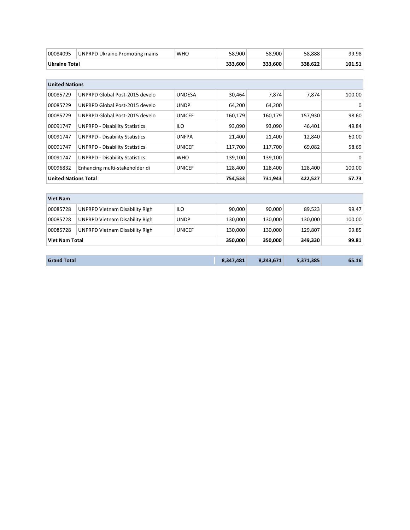| 00084095                    | <b>UNPRPD Ukraine Promoting mains</b> | <b>WHO</b>    | 58,900  | 58,900  | 58,888  | 99.98    |
|-----------------------------|---------------------------------------|---------------|---------|---------|---------|----------|
| <b>Ukraine Total</b>        |                                       |               | 333,600 | 333,600 | 338,622 | 101.51   |
|                             |                                       |               |         |         |         |          |
| <b>United Nations</b>       |                                       |               |         |         |         |          |
| 00085729                    | UNPRPD Global Post-2015 develo        | <b>UNDESA</b> | 30,464  | 7,874   | 7,874   | 100.00   |
| 00085729                    | UNPRPD Global Post-2015 develo        | <b>UNDP</b>   | 64,200  | 64,200  |         | 0        |
| 00085729                    | UNPRPD Global Post-2015 develo        | <b>UNICEF</b> | 160,179 | 160,179 | 157,930 | 98.60    |
| 00091747                    | <b>UNPRPD - Disability Statistics</b> | <b>ILO</b>    | 93,090  | 93,090  | 46,401  | 49.84    |
| 00091747                    | <b>UNPRPD - Disability Statistics</b> | <b>UNFPA</b>  | 21,400  | 21,400  | 12,840  | 60.00    |
| 00091747                    | <b>UNPRPD - Disability Statistics</b> | <b>UNICEF</b> | 117,700 | 117,700 | 69,082  | 58.69    |
| 00091747                    | <b>UNPRPD - Disability Statistics</b> | <b>WHO</b>    | 139,100 | 139,100 |         | $\Omega$ |
| 00096832                    | Enhancing multi-stakeholder di        | <b>UNICEF</b> | 128,400 | 128,400 | 128,400 | 100.00   |
| <b>United Nations Total</b> |                                       |               | 754,533 | 731,943 | 422,527 | 57.73    |
|                             |                                       |               |         |         |         |          |
| <b>Viet Nam</b>             |                                       |               |         |         |         |          |
| 00085728                    | <b>UNPRPD Vietnam Disability Righ</b> | <b>ILO</b>    | 90,000  | 90,000  | 89,523  | 99.47    |
| 00085728                    | <b>UNPRPD Vietnam Disability Righ</b> | <b>UNDP</b>   | 130,000 | 130,000 | 130,000 | 100.00   |
| 00085728                    | <b>UNPRPD Vietnam Disability Righ</b> | <b>UNICEF</b> | 130,000 | 130,000 | 129,807 | 99.85    |
| <b>Viet Nam Total</b>       |                                       |               | 350,000 | 350,000 | 349,330 | 99.81    |
|                             |                                       |               |         |         |         |          |

| <b>Grand Total</b> | 8,347,481 | 8,243,671 | 5,371,385 | 65.16 |
|--------------------|-----------|-----------|-----------|-------|
|                    |           |           |           |       |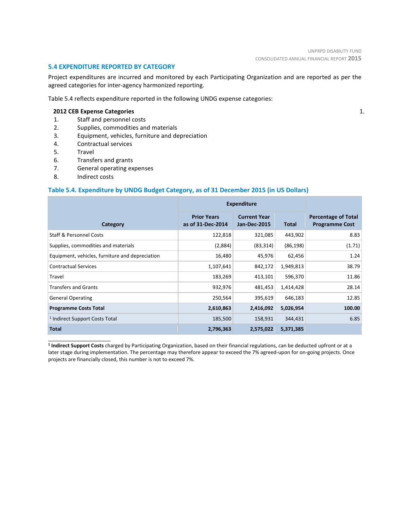1.

#### **5.4 EXPENDITURE REPORTED BY CATEGORY**

Project expenditures are incurred and monitored by each Participating Organization and are reported as per the agreed categories for inter-agency harmonized reporting.

Table 5.4 reflects expenditure reported in the following UNDG expense categories:

#### **2012 CEB Expense Categories**

- 1. Staff and personnel costs
- 2. Supplies, commodities and materials
- 3. Equipment, vehicles, furniture and depreciation
- 4. Contractual services
- 5. Travel
- 6. Transfers and grants
- 7. General operating expenses
- 8. Indirect costs

\_\_\_\_\_\_\_\_\_\_\_\_\_\_\_\_\_\_\_\_\_\_

### **Table 5.4. Expenditure by UNDG Budget Category, as of 31 December 2015 (in US Dollars)**

|                                                 | <b>Expenditure</b>                      |                                            |           |                                                     |
|-------------------------------------------------|-----------------------------------------|--------------------------------------------|-----------|-----------------------------------------------------|
| Category                                        | <b>Prior Years</b><br>as of 31-Dec-2014 | <b>Current Year</b><br><b>Jan-Dec-2015</b> | Total     | <b>Percentage of Total</b><br><b>Programme Cost</b> |
| <b>Staff &amp; Personnel Costs</b>              | 122,818                                 | 321,085                                    | 443,902   | 8.83                                                |
| Supplies, commodities and materials             | (2,884)                                 | (83, 314)                                  | (86, 198) | (1.71)                                              |
| Equipment, vehicles, furniture and depreciation | 16,480                                  | 45,976                                     | 62,456    | 1.24                                                |
| <b>Contractual Services</b>                     | 1,107,641                               | 842,172                                    | 1,949,813 | 38.79                                               |
| Travel                                          | 183,269                                 | 413,101                                    | 596,370   | 11.86                                               |
| <b>Transfers and Grants</b>                     | 932,976                                 | 481,453                                    | 1,414,428 | 28.14                                               |
| <b>General Operating</b>                        | 250,564                                 | 395,619                                    | 646,183   | 12.85                                               |
| <b>Programme Costs Total</b>                    | 2,610,863                               | 2,416,092                                  | 5,026,954 | 100.00                                              |
| <sup>1</sup> Indirect Support Costs Total       | 185,500                                 | 158,931                                    | 344,431   | 6.85                                                |
| <b>Total</b>                                    | 2,796,363                               | 2,575,022                                  | 5,371,385 |                                                     |

**<sup>1</sup> Indirect Support Costs** charged by Participating Organization, based on their financial regulations, can be deducted upfront or at a later stage during implementation. The percentage may therefore appear to exceed the 7% agreed-upon for on-going projects. Once projects are financially closed, this number is not to exceed 7%.